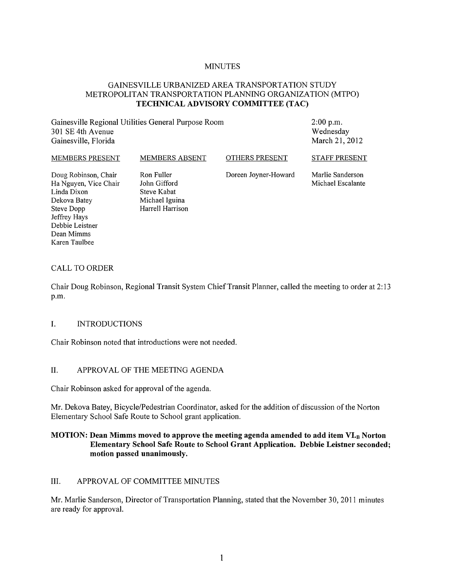## **MINUTES**

# GAINESVILLE URBANIZED AREA TRANSPORTATION STUDY METROPOLITAN TRANSPORTATION PLANNING ORGANIZATION (MTPO) **TECHNICAL ADVISORY COMMITTEE (TAC)**

Gainesville Regional Utilities General Purpose Room 301 SE 4th Avenue Gainesville, Florida

2:00 p.m. Wednesday March 21, 2012

#### MEMBERS PRESENT Doug Robinson, Chair Ha Nguyen, Vice Chair Linda Dixon Dekova Batey Steve Dopp MEMBERS ABSENT Ron Fuller John Gifford Steve Kabat Michael Iguina Harrell Harrison OTHERS PRESENT Doreen Joyner-Howard STAFF PRESENT Martie Sanderson Michael Escalante

#### CALL TO ORDER

Jeffrey Hays Debbie Leistner Dean Mimms Karen Taulbee

Chair Doug Robinson, Regional Transit System Chief Transit Planner, called the meeting to order at 2: 13 p.m.

#### I. INTRODUCTIONS

Chair Robinson noted that introductions were not needed.

#### II. APPROV AL OF THE MEETING AGENDA

Chair Robinson asked for approval of the agenda.

Mr. Dekova Batey, Bicycle/Pedestrian Coordinator, asked for the addition of discussion of the Norton Elementary School Safe Route to School grant application.

# **MOTION: Dean Mimms moved to approve the meeting agenda amended to add item VI.B Norton Elementary School Safe Route to School Grant Application. Debbie Leistner seconded; motion passed unanimously.**

#### III. APPROVAL OF COMMITTEE MINUTES

Mr. Marlie Sanderson, Director of Transportation Planning, stated that the November 30,2011 minutes are ready for approval.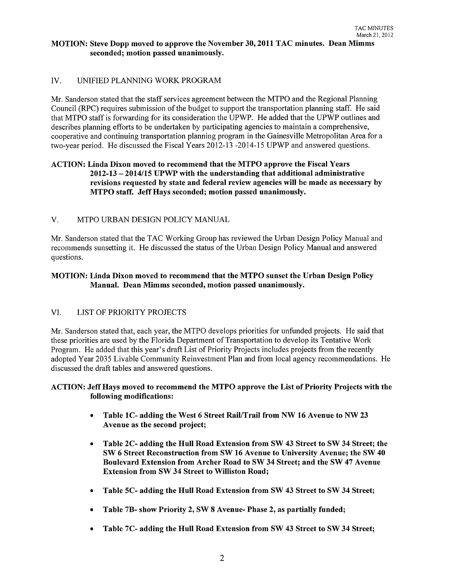## MOTION: Steve Dopp moved to approve the November 30,2011 TAC minutes. Dean Mimms seconded; motion passed unanimously.

# IV. UNIFIED PLANNING WORK PROGRAM

Mr. Sanderson stated that the staff services agreement between the MTPO and the Regional Planning Council (RPC) requires submission of the budget to support the transportation planning staff. He said that MTPO staff is forwarding for its consideration the UPWP. He added that the UPWP outlines and describes planning efforts to be undertaken by participating agencies to maintain a comprehensive, cooperative and continuing transportation planning program in the Gainesville Metropolitan Area for a two-year period. He discussed the Fiscal Years 2012-13 -2014-15 UPWP and answered questions.

## ACTION: Linda Dixon moved to recommend that the MTPO approve the Fiscal Years 2012-13 - 2014/15 UPWP with the understanding that additional administrative revisions requested by state and federal review agencies will be made as necessary by MTPO staff. Jeff Hays seconded; motion passed unanimously.

### V. MTPO URBAN DESIGN POLICY MANUAL

Mr. Sanderson stated that the TAC Working Group has reviewed the Urban Design Policy Manual and recommends sunsetting it. He discussed the status of the Urban Design Policy Manual and answered questions.

## MOTION: Linda Dixon moved to recommend that the MTPO sunset the Urban Design Policy Manual. Dean Mimms seconded, motion passed unanimously.

### VI. LIST OF PRIORITY PROJECTS

Mr. Sanderson stated that, each year, the MTPO develops priorities for unfunded projects. He said that these priorities are used by the Florida Department of Transportation to develop its Tentative Work Program. He added that this year's draft List of Priority Projects includes projects from the recently adopted Year 2035 Livable Community Reinvestment Plan and from local agency recommendations. He discussed the draft tables and answered questions.

### ACTION: Jeff Hays moved to recommend the MTPO approve the List of Priority Projects with the following modifications:

- Table 1C- adding the West 6 Street Rail/Trail from NW 16 Avenue to NW 23 Avenue as the second project;
- Table 2C- adding the Hull Road Extension from SW 43 Street to SW 34 Street; the SW 6 Street Reconstruction from SW 16 Avenue to University Avenue; the SW 40 Boulevard Extension from Archer Road to SW 34 Street; and the SW 47 Avenue Extension from SW 34 Street to Williston Road;
- Table 5C- adding the Hull Road Extension from SW 43 Street to SW 34 Street;
- Table 7B- show Priority 2, SW 8 Avenue- Phase 2, as partially funded;
- Table 7C- adding the Hull Road Extension from SW 43 Street to SW 34 Street;